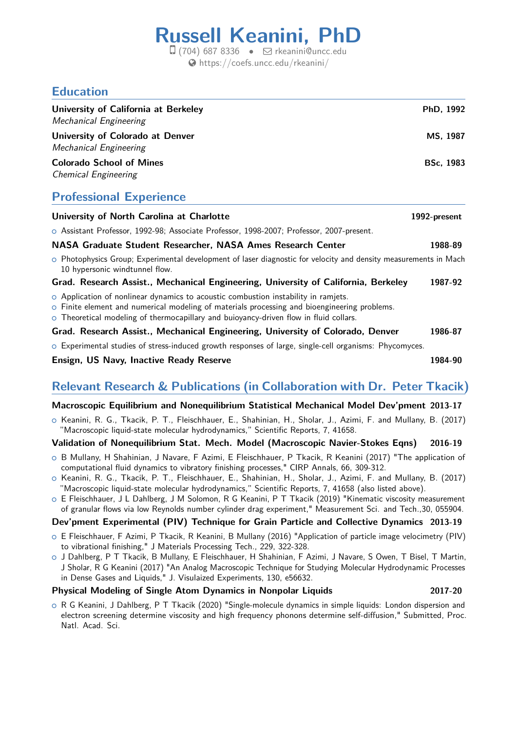# **Russell Keanini, PhD**

 $\Box$  (704) 687 8336 •  $\Box$  [rkeanini@uncc.edu](mailto:rkeanini@uncc.edu) [https://coefs.uncc.edu/rkeanini/](http://https://coefs.uncc.edu/rkeanini/)

## **Education**

| University of California at Berkeley<br><b>Mechanical Engineering</b> | PhD, 1992        |
|-----------------------------------------------------------------------|------------------|
| University of Colorado at Denver<br><b>Mechanical Engineering</b>     | MS, 1987         |
| <b>Colorado School of Mines</b><br><b>Chemical Engineering</b>        | <b>BSc, 1983</b> |
| <b>Professional Experience</b>                                        |                  |
| University of North Carolina at Charlotte                             | 1992-present     |

|  |                                                                                          |  | ----- |
|--|------------------------------------------------------------------------------------------|--|-------|
|  | O Assistant Professor, 1992-98; Associate Professor, 1998-2007; Professor, 2007-present. |  |       |

#### **NASA Graduate Student Researcher, NASA Ames Research Center 1988-89**

o Photophysics Group; Experimental development of laser diagnostic for velocity and density measurements in Mach 10 hypersonic windtunnel flow.

#### **Grad. Research Assist., Mechanical Engineering, University of California, Berkeley 1987-92**

- o Application of nonlinear dynamics to acoustic combustion instability in ramjets.
- $\circ$  Finite element and numerical modeling of materials processing and bioengineering problems.
- o Theoretical modeling of thermocapillary and buioyancy-driven flow in fluid collars.

#### **Grad. Research Assist., Mechanical Engineering, University of Colorado, Denver 1986-87**

 $\circ$  Experimental studies of stress-induced growth responses of large, single-cell organisms: Phycomyces.

#### **Ensign, US Navy, Inactive Ready Reserve 1984-90**

## **Relevant Research & Publications (in Collaboration with Dr. Peter Tkacik)**

#### **Macroscopic Equilibrium and Nonequilibrium Statistical Mechanical Model Dev'pment 2013-17**

 $\circ$  Keanini, R. G., Tkacik, P. T., Fleischhauer, E., Shahinian, H., Sholar, J., Azimi, F. and Mullany, B. (2017) "Macroscopic liquid-state molecular hydrodynamics," Scientific Reports, 7, 41658.

#### **Validation of Nonequilibrium Stat. Mech. Model (Macroscopic Navier-Stokes Eqns) 2016-19**

- o B Mullany, H Shahinian, J Navare, F Azimi, E Fleischhauer, P Tkacik, R Keanini (2017) "The application of computational fluid dynamics to vibratory finishing processes," CIRP Annals, 66, 309-312.
- o Keanini, R. G., Tkacik, P. T., Fleischhauer, E., Shahinian, H., Sholar, J., Azimi, F. and Mullany, B. (2017) "Macroscopic liquid-state molecular hydrodynamics," Scientific Reports, 7, 41658 (also listed above).
- o E Fleischhauer, J L Dahlberg, J M Solomon, R G Keanini, P T Tkacik (2019) "Kinematic viscosity measurement of granular flows via low Reynolds number cylinder drag experiment," Measurement Sci. and Tech.,30, 055904.

#### **Dev'pment Experimental (PIV) Technique for Grain Particle and Collective Dynamics 2013-19**

- o E Fleischhauer, F Azimi, P Tkacik, R Keanini, B Mullany (2016) "Application of particle image velocimetry (PIV) to vibrational finishing," J Materials Processing Tech., 229, 322-328.
- <sup>+</sup> J Dahlberg, P T Tkacik, B Mullany, E Fleischhauer, H Shahinian, F Azimi, J Navare, S Owen, T Bisel, T Martin, J Sholar, R G Keanini (2017) "An Analog Macroscopic Technique for Studying Molecular Hydrodynamic Processes in Dense Gases and Liquids," J. Visulaized Experiments, 130, e56632.

#### **Physical Modeling of Single Atom Dynamics in Nonpolar Liquids 2017-20**

- 
- <sup>+</sup> R G Keanini, J Dahlberg, P T Tkacik (2020) "Single-molecule dynamics in simple liquids: London dispersion and electron screening determine viscosity and high frequency phonons determine self-diffusion," Submitted, Proc. Natl. Acad. Sci.